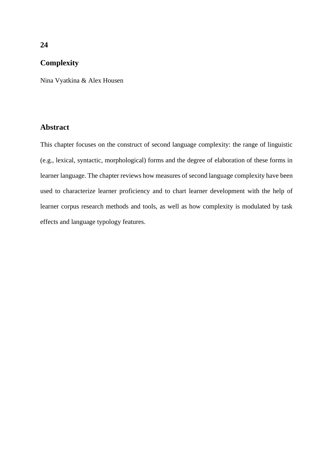# **Complexity**

Nina Vyatkina & Alex Housen

## **Abstract**

This chapter focuses on the construct of second language complexity: the range of linguistic (e.g., lexical, syntactic, morphological) forms and the degree of elaboration of these forms in learner language. The chapter reviews how measures of second language complexity have been used to characterize learner proficiency and to chart learner development with the help of learner corpus research methods and tools, as well as how complexity is modulated by task effects and language typology features.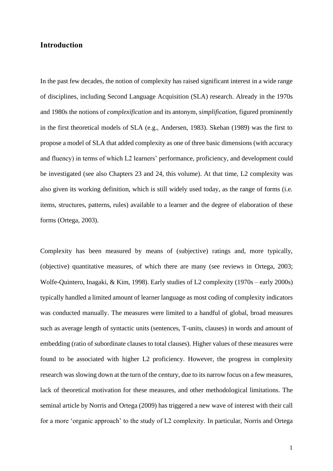## **Introduction**

In the past few decades, the notion of complexity has raised significant interest in a wide range of disciplines, including Second Language Acquisition (SLA) research. Already in the 1970s and 1980s the notions of *complexification* and its antonym, *simplification,* figured prominently in the first theoretical models of SLA (e.g., Andersen, 1983). Skehan (1989) was the first to propose a model of SLA that added complexity as one of three basic dimensions (with accuracy and fluency) in terms of which L2 learners' performance, proficiency, and development could be investigated (see also Chapters 23 and 24, this volume). At that time, L2 complexity was also given its working definition, which is still widely used today, as the range of forms (i.e. items, structures, patterns, rules) available to a learner and the degree of elaboration of these forms (Ortega, 2003).

Complexity has been measured by means of (subjective) ratings and, more typically, (objective) quantitative measures, of which there are many (see reviews in Ortega, 2003; Wolfe-Quintero, Inagaki, & Kim, 1998). Early studies of L2 complexity (1970s – early 2000s) typically handled a limited amount of learner language as most coding of complexity indicators was conducted manually. The measures were limited to a handful of global, broad measures such as average length of syntactic units (sentences, T-units, clauses) in words and amount of embedding (ratio of subordinate clauses to total clauses). Higher values of these measures were found to be associated with higher L2 proficiency. However, the progress in complexity research was slowing down at the turn of the century, due to its narrow focus on a few measures, lack of theoretical motivation for these measures, and other methodological limitations. The seminal article by Norris and Ortega (2009) has triggered a new wave of interest with their call for a more 'organic approach' to the study of L2 complexity. In particular, Norris and Ortega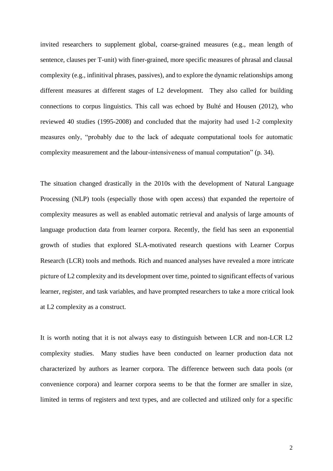invited researchers to supplement global, coarse-grained measures (e.g., mean length of sentence, clauses per T-unit) with finer-grained, more specific measures of phrasal and clausal complexity (e.g., infinitival phrases, passives), and to explore the dynamic relationships among different measures at different stages of L2 development. They also called for building connections to corpus linguistics. This call was echoed by Bulté and Housen (2012), who reviewed 40 studies (1995-2008) and concluded that the majority had used 1-2 complexity measures only, "probably due to the lack of adequate computational tools for automatic complexity measurement and the labour-intensiveness of manual computation" (p. 34).

The situation changed drastically in the 2010s with the development of Natural Language Processing (NLP) tools (especially those with open access) that expanded the repertoire of complexity measures as well as enabled automatic retrieval and analysis of large amounts of language production data from learner corpora. Recently, the field has seen an exponential growth of studies that explored SLA-motivated research questions with Learner Corpus Research (LCR) tools and methods. Rich and nuanced analyses have revealed a more intricate picture of L2 complexity and its development over time, pointed to significant effects of various learner, register, and task variables, and have prompted researchers to take a more critical look at L2 complexity as a construct.

It is worth noting that it is not always easy to distinguish between LCR and non-LCR L2 complexity studies. Many studies have been conducted on learner production data not characterized by authors as learner corpora. The difference between such data pools (or convenience corpora) and learner corpora seems to be that the former are smaller in size, limited in terms of registers and text types, and are collected and utilized only for a specific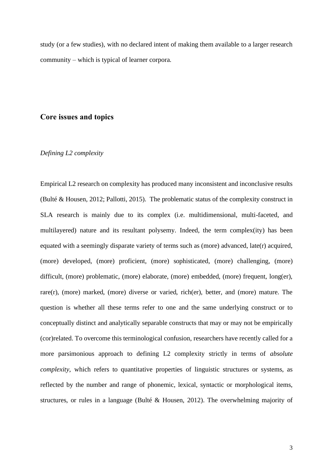study (or a few studies), with no declared intent of making them available to a larger research community – which is typical of learner corpora.

## **Core issues and topics**

#### *Defining L2 complexity*

Empirical L2 research on complexity has produced many inconsistent and inconclusive results (Bulté & Housen, 2012; Pallotti, 2015). The problematic status of the complexity construct in SLA research is mainly due to its complex (i.e. multidimensional, multi-faceted, and multilayered) nature and its resultant polysemy. Indeed, the term complex(ity) has been equated with a seemingly disparate variety of terms such as (more) advanced, late(r) acquired, (more) developed, (more) proficient, (more) sophisticated, (more) challenging, (more) difficult, (more) problematic, (more) elaborate, (more) embedded, (more) frequent, long(er), rare(r), (more) marked, (more) diverse or varied, rich(er), better, and (more) mature. The question is whether all these terms refer to one and the same underlying construct or to conceptually distinct and analytically separable constructs that may or may not be empirically (cor)related. To overcome this terminological confusion, researchers have recently called for a more parsimonious approach to defining L2 complexity strictly in terms of *absolute complexity*, which refers to quantitative properties of linguistic structures or systems, as reflected by the number and range of phonemic, lexical, syntactic or morphological items, structures, or rules in a language (Bulté & Housen, 2012). The overwhelming majority of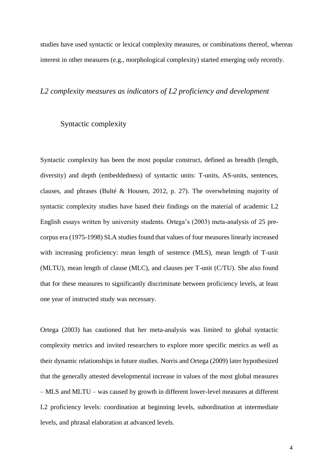studies have used syntactic or lexical complexity measures, or combinations thereof, whereas interest in other measures (e.g., morphological complexity) started emerging only recently.

#### *L2 complexity measures as indicators of L2 proficiency and development*

## Syntactic complexity

Syntactic complexity has been the most popular construct, defined as breadth (length, diversity) and depth (embeddedness) of syntactic units: T-units, AS-units, sentences, clauses, and phrases (Bulté & Housen, 2012, p. 27). The overwhelming majority of syntactic complexity studies have based their findings on the material of academic L2 English essays written by university students. Ortega's (2003) meta-analysis of 25 precorpus era (1975-1998) SLA studies found that values of four measures linearly increased with increasing proficiency: mean length of sentence (MLS), mean length of T-unit (MLTU), mean length of clause (MLC), and clauses per T-unit (C/TU). She also found that for these measures to significantly discriminate between proficiency levels, at least one year of instructed study was necessary.

Ortega (2003) has cautioned that her meta-analysis was limited to global syntactic complexity metrics and invited researchers to explore more specific metrics as well as their dynamic relationships in future studies. Norris and Ortega (2009) later hypothesized that the generally attested developmental increase in values of the most global measures – MLS and MLTU – was caused by growth in different lower-level measures at different L2 proficiency levels: coordination at beginning levels, subordination at intermediate levels, and phrasal elaboration at advanced levels.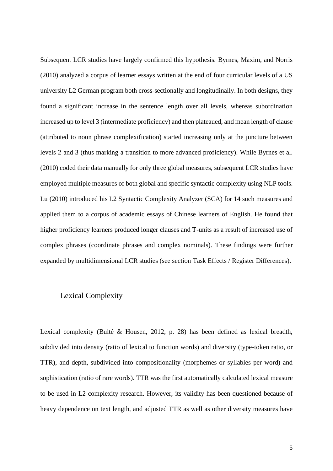Subsequent LCR studies have largely confirmed this hypothesis. Byrnes, Maxim, and Norris (2010) analyzed a corpus of learner essays written at the end of four curricular levels of a US university L2 German program both cross-sectionally and longitudinally. In both designs, they found a significant increase in the sentence length over all levels, whereas subordination increased up to level 3 (intermediate proficiency) and then plateaued, and mean length of clause (attributed to noun phrase complexification) started increasing only at the juncture between levels 2 and 3 (thus marking a transition to more advanced proficiency). While Byrnes et al. (2010) coded their data manually for only three global measures, subsequent LCR studies have employed multiple measures of both global and specific syntactic complexity using NLP tools. Lu (2010) introduced his L2 Syntactic Complexity Analyzer (SCA) for 14 such measures and applied them to a corpus of academic essays of Chinese learners of English. He found that higher proficiency learners produced longer clauses and T-units as a result of increased use of complex phrases (coordinate phrases and complex nominals). These findings were further expanded by multidimensional LCR studies (see section Task Effects / Register Differences).

#### Lexical Complexity

Lexical complexity (Bulté & Housen, 2012, p. 28) has been defined as lexical breadth, subdivided into density (ratio of lexical to function words) and diversity (type-token ratio, or TTR), and depth, subdivided into compositionality (morphemes or syllables per word) and sophistication (ratio of rare words). TTR was the first automatically calculated lexical measure to be used in L2 complexity research. However, its validity has been questioned because of heavy dependence on text length, and adjusted TTR as well as other diversity measures have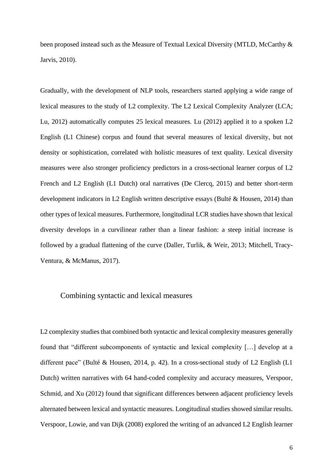been proposed instead such as the Measure of Textual Lexical Diversity (MTLD, McCarthy & Jarvis, 2010).

Gradually, with the development of NLP tools, researchers started applying a wide range of lexical measures to the study of L2 complexity. The L2 Lexical Complexity Analyzer (LCA; Lu, 2012) automatically computes 25 lexical measures. Lu (2012) applied it to a spoken L2 English (L1 Chinese) corpus and found that several measures of lexical diversity, but not density or sophistication, correlated with holistic measures of text quality. Lexical diversity measures were also stronger proficiency predictors in a cross-sectional learner corpus of L2 French and L2 English (L1 Dutch) oral narratives (De Clercq, 2015) and better short-term development indicators in L2 English written descriptive essays (Bulté & Housen, 2014) than other types of lexical measures. Furthermore, longitudinal LCR studies have shown that lexical diversity develops in a curvilinear rather than a linear fashion: a steep initial increase is followed by a gradual flattening of the curve (Daller, Turlik, & Weir, 2013; Mitchell, Tracy-Ventura, & McManus, 2017).

#### Combining syntactic and lexical measures

L2 complexity studies that combined both syntactic and lexical complexity measures generally found that "different subcomponents of syntactic and lexical complexity […] develop at a different pace" (Bulté & Housen, 2014, p. 42). In a cross-sectional study of L2 English (L1 Dutch) written narratives with 64 hand-coded complexity and accuracy measures, Verspoor, Schmid, and Xu (2012) found that significant differences between adjacent proficiency levels alternated between lexical and syntactic measures. Longitudinal studies showed similar results. Verspoor, Lowie, and van Dijk (2008) explored the writing of an advanced L2 English learner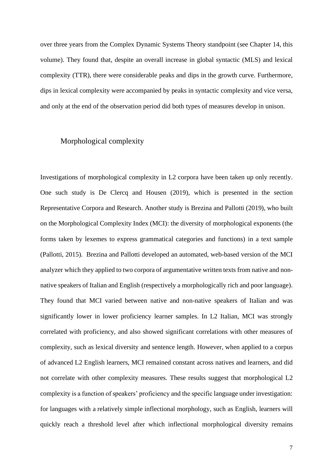over three years from the Complex Dynamic Systems Theory standpoint (see Chapter 14, this volume). They found that, despite an overall increase in global syntactic (MLS) and lexical complexity (TTR), there were considerable peaks and dips in the growth curve. Furthermore, dips in lexical complexity were accompanied by peaks in syntactic complexity and vice versa, and only at the end of the observation period did both types of measures develop in unison.

#### Morphological complexity

Investigations of morphological complexity in L2 corpora have been taken up only recently. One such study is De Clercq and Housen (2019), which is presented in the section Representative Corpora and Research. Another study is Brezina and Pallotti (2019), who built on the Morphological Complexity Index (MCI): the diversity of morphological exponents (the forms taken by lexemes to express grammatical categories and functions) in a text sample (Pallotti, 2015). Brezina and Pallotti developed an automated, web-based version of the MCI analyzer which they applied to two corpora of argumentative written texts from native and nonnative speakers of Italian and English (respectively a morphologically rich and poor language). They found that MCI varied between native and non-native speakers of Italian and was significantly lower in lower proficiency learner samples. In L2 Italian, MCI was strongly correlated with proficiency, and also showed significant correlations with other measures of complexity, such as lexical diversity and sentence length. However, when applied to a corpus of advanced L2 English learners, MCI remained constant across natives and learners, and did not correlate with other complexity measures. These results suggest that morphological L2 complexity is a function of speakers' proficiency and the specific language under investigation: for languages with a relatively simple inflectional morphology, such as English, learners will quickly reach a threshold level after which inflectional morphological diversity remains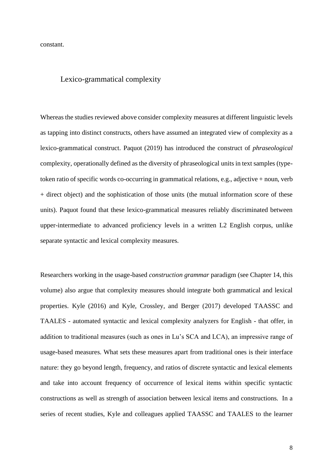constant.

#### Lexico-grammatical complexity

Whereas the studies reviewed above consider complexity measures at different linguistic levels as tapping into distinct constructs, others have assumed an integrated view of complexity as a lexico-grammatical construct. Paquot (2019) has introduced the construct of *phraseological*  complexity, operationally defined as the diversity of phraseological units in text samples (typetoken ratio of specific words co-occurring in grammatical relations, e.g., adjective + noun, verb + direct object) and the sophistication of those units (the mutual information score of these units). Paquot found that these lexico-grammatical measures reliably discriminated between upper-intermediate to advanced proficiency levels in a written L2 English corpus, unlike separate syntactic and lexical complexity measures.

Researchers working in the usage-based *construction grammar* paradigm (see Chapter 14, this volume) also argue that complexity measures should integrate both grammatical and lexical properties. Kyle (2016) and Kyle, Crossley, and Berger (2017) developed TAASSC and TAALES - automated syntactic and lexical complexity analyzers for English - that offer, in addition to traditional measures (such as ones in Lu's SCA and LCA), an impressive range of usage-based measures. What sets these measures apart from traditional ones is their interface nature: they go beyond length, frequency, and ratios of discrete syntactic and lexical elements and take into account frequency of occurrence of lexical items within specific syntactic constructions as well as strength of association between lexical items and constructions. In a series of recent studies, Kyle and colleagues applied TAASSC and TAALES to the learner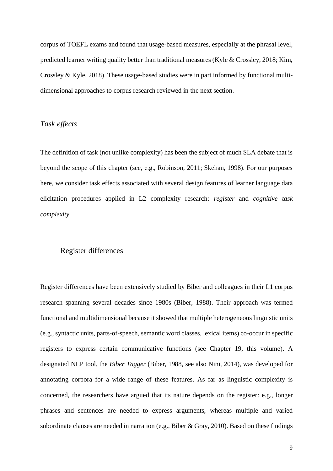corpus of TOEFL exams and found that usage-based measures, especially at the phrasal level, predicted learner writing quality better than traditional measures (Kyle & Crossley, 2018; Kim, Crossley & Kyle, 2018). These usage-based studies were in part informed by functional multidimensional approaches to corpus research reviewed in the next section.

## *Task effects*

The definition of task (not unlike complexity) has been the subject of much SLA debate that is beyond the scope of this chapter (see, e.g., Robinson, 2011; Skehan, 1998). For our purposes here, we consider task effects associated with several design features of learner language data elicitation procedures applied in L2 complexity research: *register* and *cognitive task complexity*.

#### Register differences

Register differences have been extensively studied by Biber and colleagues in their L1 corpus research spanning several decades since 1980s (Biber, 1988). Their approach was termed functional and multidimensional because it showed that multiple heterogeneous linguistic units (e.g., syntactic units, parts-of-speech, semantic word classes, lexical items) co-occur in specific registers to express certain communicative functions (see Chapter 19, this volume). A designated NLP tool, the *Biber Tagger* (Biber, 1988, see also Nini, 2014), was developed for annotating corpora for a wide range of these features. As far as linguistic complexity is concerned, the researchers have argued that its nature depends on the register: e.g., longer phrases and sentences are needed to express arguments, whereas multiple and varied subordinate clauses are needed in narration (e.g., Biber & Gray, 2010). Based on these findings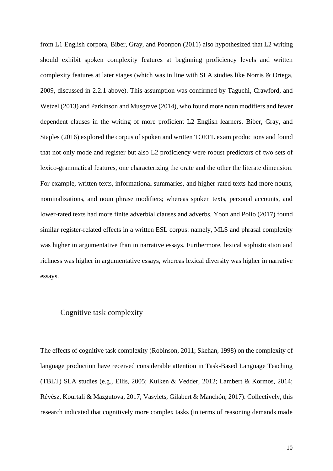from L1 English corpora, Biber, Gray, and Poonpon (2011) also hypothesized that L2 writing should exhibit spoken complexity features at beginning proficiency levels and written complexity features at later stages (which was in line with SLA studies like Norris & Ortega, 2009, discussed in 2.2.1 above). This assumption was confirmed by Taguchi, Crawford, and Wetzel (2013) and Parkinson and Musgrave (2014), who found more noun modifiers and fewer dependent clauses in the writing of more proficient L2 English learners. Biber, Gray, and Staples (2016) explored the corpus of spoken and written TOEFL exam productions and found that not only mode and register but also L2 proficiency were robust predictors of two sets of lexico-grammatical features, one characterizing the orate and the other the literate dimension. For example, written texts, informational summaries, and higher-rated texts had more nouns, nominalizations, and noun phrase modifiers; whereas spoken texts, personal accounts, and lower-rated texts had more finite adverbial clauses and adverbs. Yoon and Polio (2017) found similar register-related effects in a written ESL corpus: namely, MLS and phrasal complexity was higher in argumentative than in narrative essays. Furthermore, lexical sophistication and richness was higher in argumentative essays, whereas lexical diversity was higher in narrative essays.

## Cognitive task complexity

The effects of cognitive task complexity (Robinson, 2011; Skehan, 1998) on the complexity of language production have received considerable attention in Task-Based Language Teaching (TBLT) SLA studies (e.g., Ellis, 2005; Kuiken & Vedder, 2012; Lambert & Kormos, 2014; Révész, Kourtali & Mazgutova, 2017; Vasylets, Gilabert & Manchón, 2017). Collectively, this research indicated that cognitively more complex tasks (in terms of reasoning demands made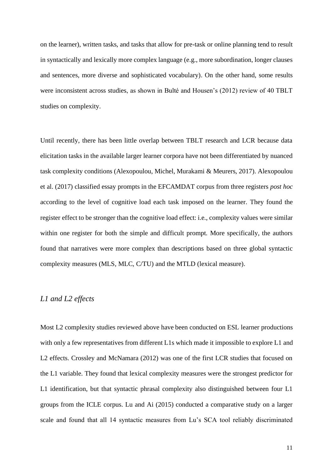on the learner), written tasks, and tasks that allow for pre-task or online planning tend to result in syntactically and lexically more complex language (e.g., more subordination, longer clauses and sentences, more diverse and sophisticated vocabulary). On the other hand, some results were inconsistent across studies, as shown in Bulté and Housen's (2012) review of 40 TBLT studies on complexity.

Until recently, there has been little overlap between TBLT research and LCR because data elicitation tasks in the available larger learner corpora have not been differentiated by nuanced task complexity conditions (Alexopoulou, Michel, Murakami & Meurers, 2017). Alexopoulou et al. (2017) classified essay prompts in the EFCAMDAT corpus from three registers *post hoc* according to the level of cognitive load each task imposed on the learner. They found the register effect to be stronger than the cognitive load effect: i.e., complexity values were similar within one register for both the simple and difficult prompt. More specifically, the authors found that narratives were more complex than descriptions based on three global syntactic complexity measures (MLS, MLC, C/TU) and the MTLD (lexical measure).

#### *L1 and L2 effects*

Most L2 complexity studies reviewed above have been conducted on ESL learner productions with only a few representatives from different L1s which made it impossible to explore L1 and L2 effects. Crossley and McNamara (2012) was one of the first LCR studies that focused on the L1 variable. They found that lexical complexity measures were the strongest predictor for L1 identification, but that syntactic phrasal complexity also distinguished between four L1 groups from the ICLE corpus. Lu and Ai (2015) conducted a comparative study on a larger scale and found that all 14 syntactic measures from Lu's SCA tool reliably discriminated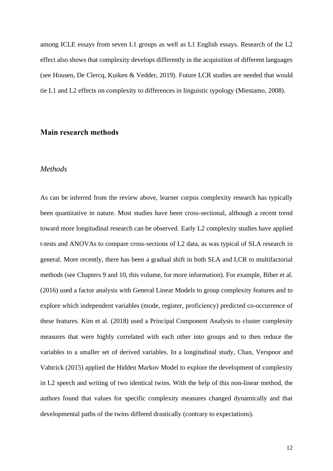among ICLE essays from seven L1 groups as well as L1 English essays. Research of the L2 effect also shows that complexity develops differently in the acquisition of different languages (see Housen, De Clercq, Kuiken & Vedder, 2019). Future LCR studies are needed that would tie L1 and L2 effects on complexity to differences in linguistic typology (Miestamo, 2008).

## **Main research methods**

#### *Methods*

As can be inferred from the review above, learner corpus complexity research has typically been quantitative in nature. Most studies have been cross-sectional, although a recent trend toward more longitudinal research can be observed. Early L2 complexity studies have applied t-tests and ANOVAs to compare cross-sections of L2 data, as was typical of SLA research in general. More recently, there has been a gradual shift in both SLA and LCR to multifactorial methods (see Chapters 9 and 10, this volume, for more information). For example, Biber et al. (2016) used a factor analysis with General Linear Models to group complexity features and to explore which independent variables (mode, register, proficiency) predicted co-occurrence of these features. Kim et al. (2018) used a Principal Component Analysis to cluster complexity measures that were highly correlated with each other into groups and to then reduce the variables to a smaller set of derived variables. In a longitudinal study, Chan, Verspoor and Vahtrick (2015) applied the Hidden Markov Model to explore the development of complexity in L2 speech and writing of two identical twins. With the help of this non-linear method, the authors found that values for specific complexity measures changed dynamically and that developmental paths of the twins differed drastically (contrary to expectations).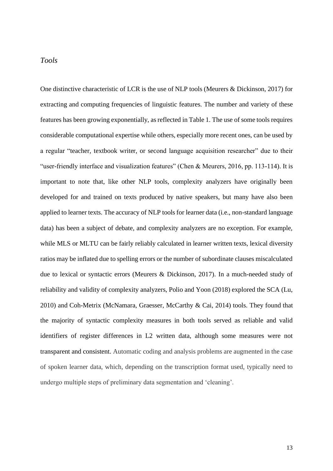### *Tools*

One distinctive characteristic of LCR is the use of NLP tools (Meurers & Dickinson, 2017) for extracting and computing frequencies of linguistic features. The number and variety of these features has been growing exponentially, as reflected in Table 1. The use of some tools requires considerable computational expertise while others, especially more recent ones, can be used by a regular "teacher, textbook writer, or second language acquisition researcher" due to their "user-friendly interface and visualization features" (Chen & Meurers, 2016, pp. 113-114). It is important to note that, like other NLP tools, complexity analyzers have originally been developed for and trained on texts produced by native speakers, but many have also been applied to learner texts. The accuracy of NLP tools for learner data (i.e., non-standard language data) has been a subject of debate, and complexity analyzers are no exception. For example, while MLS or MLTU can be fairly reliably calculated in learner written texts, lexical diversity ratios may be inflated due to spelling errors or the number of subordinate clauses miscalculated due to lexical or syntactic errors (Meurers & Dickinson, 2017). In a much-needed study of reliability and validity of complexity analyzers, Polio and Yoon (2018) explored the SCA (Lu, 2010) and Coh-Metrix (McNamara, Graesser, McCarthy & Cai, 2014) tools. They found that the majority of syntactic complexity measures in both tools served as reliable and valid identifiers of register differences in L2 written data, although some measures were not transparent and consistent. Automatic coding and analysis problems are augmented in the case of spoken learner data, which, depending on the transcription format used, typically need to undergo multiple steps of preliminary data segmentation and 'cleaning'.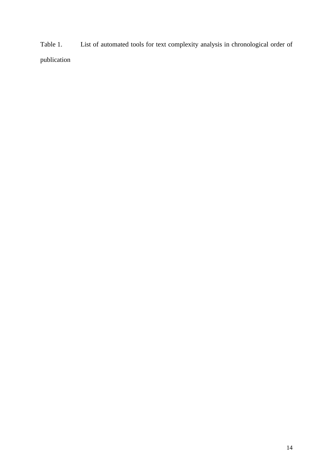Table 1. List of automated tools for text complexity analysis in chronological order of publication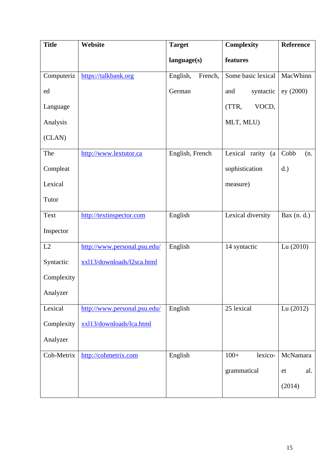| <b>Title</b> | Website                      | <b>Target</b>       | <b>Complexity</b>     | Reference    |
|--------------|------------------------------|---------------------|-----------------------|--------------|
|              |                              | language(s)         | features              |              |
| Computeriz   | https://talkbank.org         | English,<br>French, | Some basic lexical    | MacWhinn     |
| ed           |                              | German              | syntactic<br>and      | ey (2000)    |
| Language     |                              |                     | VOCD,<br>(TTR,        |              |
| Analysis     |                              |                     | MLT, MLU)             |              |
| (CLAN)       |                              |                     |                       |              |
| The          | http://www.lextutor.ca       | English, French     | Lexical rarity<br>(a) | Cobb<br>(n.  |
| Compleat     |                              |                     | sophistication        | $d.$ )       |
| Lexical      |                              |                     | measure)              |              |
| Tutor        |                              |                     |                       |              |
| Text         | http://textinspector.com     | English             | Lexical diversity     | Bax $(n, d)$ |
| Inspector    |                              |                     |                       |              |
| L2           | http://www.personal.psu.edu/ | English             | 14 syntactic          | Lu $(2010)$  |
| Syntactic    | xxl13/downloads/l2sca.html   |                     |                       |              |
| Complexity   |                              |                     |                       |              |
| Analyzer     |                              |                     |                       |              |
| Lexical      | http://www.personal.psu.edu/ | English             | 25 lexical            | Lu (2012)    |
| Complexity   | xxl13/downloads/lca.html     |                     |                       |              |
| Analyzer     |                              |                     |                       |              |
| Coh-Metrix   | http://cohmetrix.com         | English             | $100+$<br>lexico-     | McNamara     |
|              |                              |                     | grammatical           | al.<br>et    |
|              |                              |                     |                       | (2014)       |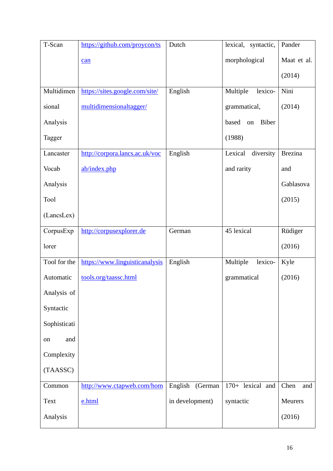| T-Scan       | https://github.com/proycon/ts  | Dutch              | lexical, syntactic,  | Pander         |
|--------------|--------------------------------|--------------------|----------------------|----------------|
|              | can                            |                    | morphological        | Maat et al.    |
|              |                                |                    |                      | (2014)         |
| Multidimen   | https://sites.google.com/site/ | English            | Multiple<br>lexico-  | Nini           |
| sional       | multidimensionaltagger/        |                    | grammatical,         | (2014)         |
| Analysis     |                                |                    | based<br>Biber<br>on |                |
| Tagger       |                                |                    | (1988)               |                |
| Lancaster    | http://corpora.lancs.ac.uk/voc | English            | Lexical<br>diversity | <b>Brezina</b> |
| Vocab        | ab/index.php                   |                    | and rarity           | and            |
| Analysis     |                                |                    |                      | Gablasova      |
| <b>Tool</b>  |                                |                    |                      | (2015)         |
| (LancsLex)   |                                |                    |                      |                |
| CorpusExp    | http://corpusexplorer.de       | German             | 45 lexical           | Rüdiger        |
| lorer        |                                |                    |                      | (2016)         |
| Tool for the | https://www.linguisticanalysis | English            | Multiple<br>lexico-  | Kyle           |
| Automatic    | tools.org/taassc.html          |                    | grammatical          | (2016)         |
| Analysis of  |                                |                    |                      |                |
| Syntactic    |                                |                    |                      |                |
| Sophisticati |                                |                    |                      |                |
| and<br>on    |                                |                    |                      |                |
| Complexity   |                                |                    |                      |                |
| (TAASSC)     |                                |                    |                      |                |
| Common       | http://www.ctapweb.com/hom     | English<br>(German | 170+ lexical and     | Chen<br>and    |
| Text         | e.html                         | in development)    | syntactic            | Meurers        |
| Analysis     |                                |                    |                      | (2016)         |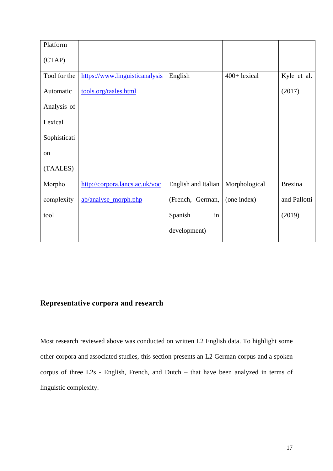| Platform     |                                |                     |                |                |
|--------------|--------------------------------|---------------------|----------------|----------------|
| (CTAP)       |                                |                     |                |                |
| Tool for the | https://www.linguisticanalysis | English             | $400+$ lexical | Kyle et al.    |
| Automatic    | tools.org/taales.html          |                     |                | (2017)         |
| Analysis of  |                                |                     |                |                |
| Lexical      |                                |                     |                |                |
| Sophisticati |                                |                     |                |                |
| on           |                                |                     |                |                |
| (TAALES)     |                                |                     |                |                |
| Morpho       | http://corpora.lancs.ac.uk/voc | English and Italian | Morphological  | <b>Brezina</b> |
| complexity   | ab/analyse morph.php           | (French, German,    | (one index)    | and Pallotti   |
| tool         |                                | in<br>Spanish       |                | (2019)         |
|              |                                | development)        |                |                |

# **Representative corpora and research**

Most research reviewed above was conducted on written L2 English data. To highlight some other corpora and associated studies, this section presents an L2 German corpus and a spoken corpus of three L2s - English, French, and Dutch – that have been analyzed in terms of linguistic complexity.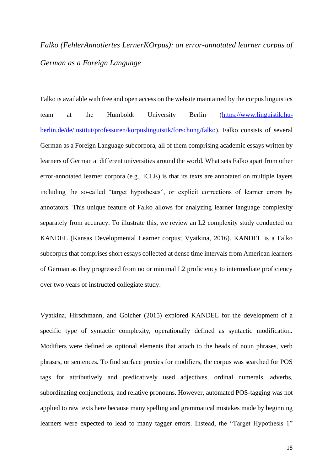# *Falko (FehlerAnnotiertes LernerKOrpus): an error-annotated learner corpus of German as a Foreign Language*

Falko is available with free and open access on the website maintained by the corpus linguistics team at the Humboldt University Berlin [\(https://www.linguistik.hu](https://www.linguistik.hu-berlin.de/de/institut/professuren/korpuslinguistik/forschung/falko)[berlin.de/de/institut/professuren/korpuslinguistik/forschung/falko\)](https://www.linguistik.hu-berlin.de/de/institut/professuren/korpuslinguistik/forschung/falko). Falko consists of several German as a Foreign Language subcorpora, all of them comprising academic essays written by learners of German at different universities around the world. What sets Falko apart from other error-annotated learner corpora (e.g., ICLE) is that its texts are annotated on multiple layers including the so-called "target hypotheses", or explicit corrections of learner errors by annotators. This unique feature of Falko allows for analyzing learner language complexity separately from accuracy. To illustrate this, we review an L2 complexity study conducted on KANDEL (Kansas Developmental Learner corpus; Vyatkina, 2016). KANDEL is a Falko subcorpus that comprises short essays collected at dense time intervals from American learners of German as they progressed from no or minimal L2 proficiency to intermediate proficiency over two years of instructed collegiate study.

Vyatkina, Hirschmann, and Golcher (2015) explored KANDEL for the development of a specific type of syntactic complexity, operationally defined as syntactic modification. Modifiers were defined as optional elements that attach to the heads of noun phrases, verb phrases, or sentences. To find surface proxies for modifiers, the corpus was searched for POS tags for attributively and predicatively used adjectives, ordinal numerals, adverbs, subordinating conjunctions, and relative pronouns. However, automated POS-tagging was not applied to raw texts here because many spelling and grammatical mistakes made by beginning learners were expected to lead to many tagger errors. Instead, the "Target Hypothesis 1"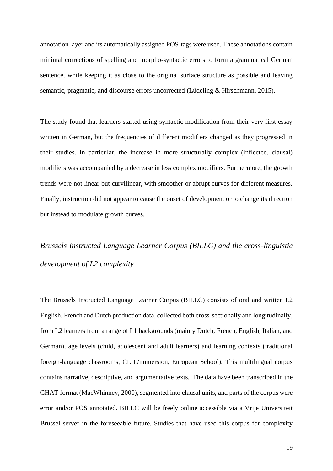annotation layer and its automatically assigned POS-tags were used. These annotations contain minimal corrections of spelling and morpho-syntactic errors to form a grammatical German sentence, while keeping it as close to the original surface structure as possible and leaving semantic, pragmatic, and discourse errors uncorrected (Lüdeling & Hirschmann, 2015).

The study found that learners started using syntactic modification from their very first essay written in German, but the frequencies of different modifiers changed as they progressed in their studies. In particular, the increase in more structurally complex (inflected, clausal) modifiers was accompanied by a decrease in less complex modifiers. Furthermore, the growth trends were not linear but curvilinear, with smoother or abrupt curves for different measures. Finally, instruction did not appear to cause the onset of development or to change its direction but instead to modulate growth curves.

# *Brussels Instructed Language Learner Corpus (BILLC) and the cross-linguistic development of L2 complexity*

The Brussels Instructed Language Learner Corpus (BILLC) consists of oral and written L2 English, French and Dutch production data, collected both cross-sectionally and longitudinally, from L2 learners from a range of L1 backgrounds (mainly Dutch, French, English, Italian, and German), age levels (child, adolescent and adult learners) and learning contexts (traditional foreign-language classrooms, CLIL/immersion, European School). This multilingual corpus contains narrative, descriptive, and argumentative texts. The data have been transcribed in the CHAT format (MacWhinney, 2000), segmented into clausal units, and parts of the corpus were error and/or POS annotated. BILLC will be freely online accessible via a Vrije Universiteit Brussel server in the foreseeable future. Studies that have used this corpus for complexity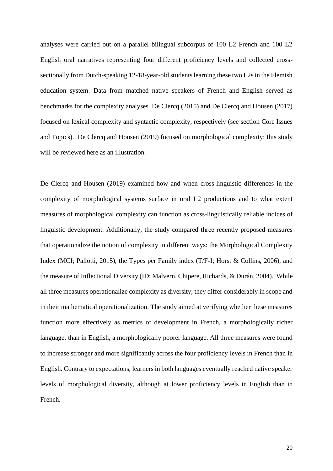analyses were carried out on a parallel bilingual subcorpus of 100 L2 French and 100 L2 English oral narratives representing four different proficiency levels and collected crosssectionally from Dutch-speaking 12-18-year-old students learning these two L2s in the Flemish education system. Data from matched native speakers of French and English served as benchmarks for the complexity analyses. De Clercq (2015) and De Clercq and Housen (2017) focused on lexical complexity and syntactic complexity, respectively (see section Core Issues and Topics). De Clercq and Housen (2019) focused on morphological complexity: this study will be reviewed here as an illustration.

De Clercq and Housen (2019) examined how and when cross-linguistic differences in the complexity of morphological systems surface in oral L2 productions and to what extent measures of morphological complexity can function as cross-linguistically reliable indices of linguistic development. Additionally, the study compared three recently proposed measures that operationalize the notion of complexity in different ways: the Morphological Complexity Index (MCI; Pallotti, 2015), the Types per Family index (T/F-I; Horst & Collins, 2006), and the measure of Inflectional Diversity (ID; Malvern, Chipere, Richards, & Durán, 2004). While all three measures operationalize complexity as diversity, they differ considerably in scope and in their mathematical operationalization. The study aimed at verifying whether these measures function more effectively as metrics of development in French, a morphologically richer language, than in English, a morphologically poorer language. All three measures were found to increase stronger and more significantly across the four proficiency levels in French than in English. Contrary to expectations, learners in both languages eventually reached native speaker levels of morphological diversity, although at lower proficiency levels in English than in French.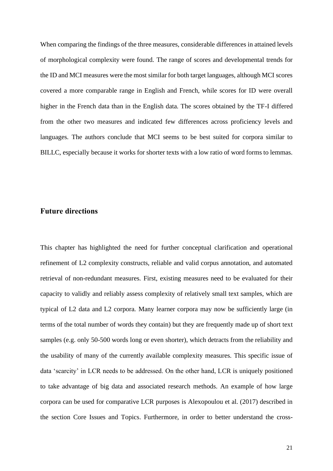When comparing the findings of the three measures, considerable differences in attained levels of morphological complexity were found. The range of scores and developmental trends for the ID and MCI measures were the most similar for both target languages, although MCI scores covered a more comparable range in English and French, while scores for ID were overall higher in the French data than in the English data. The scores obtained by the TF-I differed from the other two measures and indicated few differences across proficiency levels and languages. The authors conclude that MCI seems to be best suited for corpora similar to BILLC, especially because it works for shorter texts with a low ratio of word forms to lemmas.

## **Future directions**

This chapter has highlighted the need for further conceptual clarification and operational refinement of L2 complexity constructs, reliable and valid corpus annotation, and automated retrieval of non-redundant measures. First, existing measures need to be evaluated for their capacity to validly and reliably assess complexity of relatively small text samples, which are typical of L2 data and L2 corpora. Many learner corpora may now be sufficiently large (in terms of the total number of words they contain) but they are frequently made up of short text samples (e.g. only 50-500 words long or even shorter), which detracts from the reliability and the usability of many of the currently available complexity measures. This specific issue of data 'scarcity' in LCR needs to be addressed. On the other hand, LCR is uniquely positioned to take advantage of big data and associated research methods. An example of how large corpora can be used for comparative LCR purposes is Alexopoulou et al. (2017) described in the section Core Issues and Topics. Furthermore, in order to better understand the cross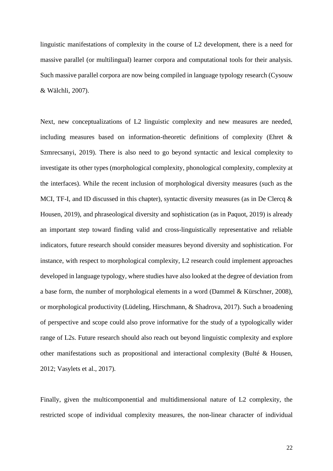linguistic manifestations of complexity in the course of L2 development, there is a need for massive parallel (or multilingual) learner corpora and computational tools for their analysis. Such massive parallel corpora are now being compiled in language typology research (Cysouw & Wälchli, 2007).

Next, new conceptualizations of L2 linguistic complexity and new measures are needed, including measures based on information-theoretic definitions of complexity (Ehret & Szmrecsanyi, 2019). There is also need to go beyond syntactic and lexical complexity to investigate its other types (morphological complexity, phonological complexity, complexity at the interfaces). While the recent inclusion of morphological diversity measures (such as the MCI, TF-I, and ID discussed in this chapter), syntactic diversity measures (as in De Clercq & Housen, 2019), and phraseological diversity and sophistication (as in Paquot, 2019) is already an important step toward finding valid and cross-linguistically representative and reliable indicators, future research should consider measures beyond diversity and sophistication. For instance, with respect to morphological complexity, L2 research could implement approaches developed in language typology, where studies have also looked at the degree of deviation from a base form, the number of morphological elements in a word (Dammel & Kürschner, 2008), or morphological productivity (Lüdeling, Hirschmann, & Shadrova, 2017). Such a broadening of perspective and scope could also prove informative for the study of a typologically wider range of L2s. Future research should also reach out beyond linguistic complexity and explore other manifestations such as propositional and interactional complexity (Bulté & Housen, 2012; Vasylets et al., 2017).

Finally, given the multicomponential and multidimensional nature of L2 complexity, the restricted scope of individual complexity measures, the non-linear character of individual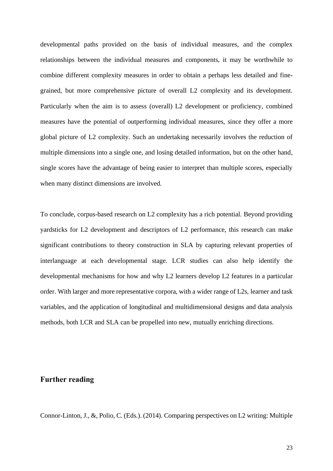developmental paths provided on the basis of individual measures, and the complex relationships between the individual measures and components, it may be worthwhile to combine different complexity measures in order to obtain a perhaps less detailed and finegrained, but more comprehensive picture of overall L2 complexity and its development. Particularly when the aim is to assess (overall) L2 development or proficiency, combined measures have the potential of outperforming individual measures, since they offer a more global picture of L2 complexity. Such an undertaking necessarily involves the reduction of multiple dimensions into a single one, and losing detailed information, but on the other hand, single scores have the advantage of being easier to interpret than multiple scores, especially when many distinct dimensions are involved.

To conclude, corpus-based research on L2 complexity has a rich potential. Beyond providing yardsticks for L2 development and descriptors of L2 performance, this research can make significant contributions to theory construction in SLA by capturing relevant properties of interlanguage at each developmental stage. LCR studies can also help identify the developmental mechanisms for how and why L2 learners develop L2 features in a particular order. With larger and more representative corpora, with a wider range of L2s, learner and task variables, and the application of longitudinal and multidimensional designs and data analysis methods, both LCR and SLA can be propelled into new, mutually enriching directions.

### **Further reading**

Connor-Linton, J., &, Polio, C. (Eds.). (2014). Comparing perspectives on L2 writing: Multiple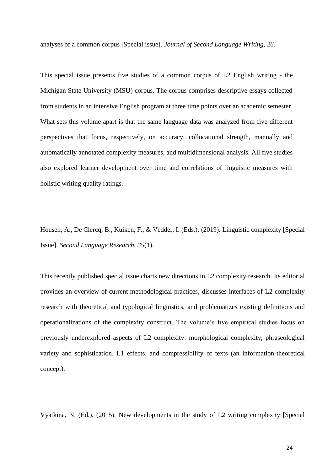analyses of a common corpus [Special issue]. *Journal of Second Language Writing, 26*.

This special issue presents five studies of a common corpus of L2 English writing - the Michigan State University (MSU) corpus. The corpus comprises descriptive essays collected from students in an intensive English program at three time points over an academic semester. What sets this volume apart is that the same language data was analyzed from five different perspectives that focus, respectively, on accuracy, collocational strength, manually and automatically annotated complexity measures, and multidimensional analysis. All five studies also explored learner development over time and correlations of linguistic measures with holistic writing quality ratings.

Housen, A., De Clercq, B., Kuiken, F., & Vedder, I. (Eds.). (2019). Linguistic complexity [Special Issue]. *Second Language Research, 35*(1).

This recently published special issue charts new directions in L2 complexity research. Its editorial provides an overview of current methodological practices, discusses interfaces of L2 complexity research with theoretical and typological linguistics, and problematizes existing definitions and operationalizations of the complexity construct. The volume's five empirical studies focus on previously underexplored aspects of L2 complexity: morphological complexity, phraseological variety and sophistication, L1 effects, and compressibility of texts (an information-theoretical concept).

Vyatkina, N. (Ed.). (2015). New developments in the study of L2 writing complexity [Special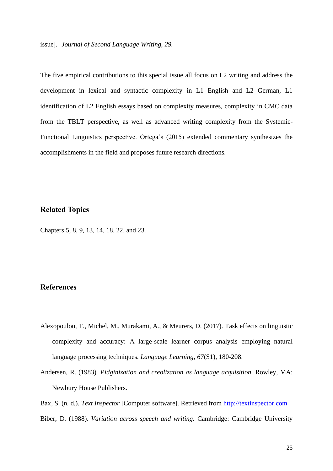issue]. *Journal of Second Language Writing, 29.*

The five empirical contributions to this special issue all focus on L2 writing and address the development in lexical and syntactic complexity in L1 English and L2 German, L1 identification of L2 English essays based on complexity measures, complexity in CMC data from the TBLT perspective, as well as advanced writing complexity from the Systemic-Functional Linguistics perspective. Ortega's (2015) extended commentary synthesizes the accomplishments in the field and proposes future research directions.

### **Related Topics**

Chapters 5, 8, 9, 13, 14, 18, 22, and 23.

## **References**

- Alexopoulou, T., Michel, M., Murakami, A., & Meurers, D. (2017). Task effects on linguistic complexity and accuracy: A large-scale learner corpus analysis employing natural language processing techniques. *Language Learning, 67*(S1), 180-208.
- Andersen, R. (1983). *Pidginization and creolization as language acquisition*. Rowley, MA: Newbury House Publishers.
- Bax, S. (n. d.). *Text Inspector* [Computer software]. Retrieved from [http://textinspector.com](http://textinspector.com/)
- Biber, D. (1988). *Variation across speech and writing*. Cambridge: Cambridge University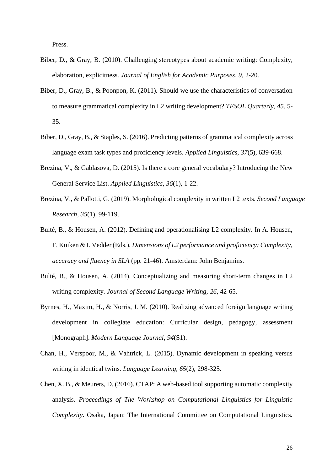Press.

- Biber, D., & Gray, B. (2010). Challenging stereotypes about academic writing: Complexity, elaboration, explicitness. *Journal of English for Academic Purposes, 9*, 2-20.
- Biber, D., Gray, B., & Poonpon, K. (2011). Should we use the characteristics of conversation to measure grammatical complexity in L2 writing development? *TESOL Quarterly, 45*, 5- 35.
- Biber, D., Gray, B., & Staples, S. (2016). Predicting patterns of grammatical complexity across language exam task types and proficiency levels. *Applied Linguistics, 37*(5), 639-668.
- Brezina, V., & Gablasova, D. (2015). Is there a core general vocabulary? Introducing the New General Service List. *Applied Linguistics, 36*(1), 1-22.
- Brezina, V., & Pallotti, G. (2019). Morphological complexity in written L2 texts. *Second Language Research, 35*(1), 99-119.
- Bulté, B., & Housen, A. (2012). Defining and operationalising L2 complexity. In A. Housen, F. Kuiken & I. Vedder (Eds.). *Dimensions of L2 performance and proficiency: Complexity, accuracy and fluency in SLA* (pp. 21-46). Amsterdam: John Benjamins.
- Bulté, B., & Housen, A. (2014). Conceptualizing and measuring short-term changes in L2 writing complexity. *Journal of Second Language Writing, 26*, 42-65.
- Byrnes, H., Maxim, H., & Norris, J. M. (2010). Realizing advanced foreign language writing development in collegiate education: Curricular design, pedagogy, assessment [Monograph]. *Modern Language Journal*, *94*(S1).
- Chan, H., Verspoor, M., & Vahtrick, L. (2015). Dynamic development in speaking versus writing in identical twins. *Language Learning, 65*(2), 298-325.
- Chen, X. B., & Meurers, D. (2016). CTAP: A web-based tool supporting automatic complexity analysis. *Proceedings of The Workshop on Computational Linguistics for Linguistic Complexity*. Osaka, Japan: The International Committee on Computational Linguistics.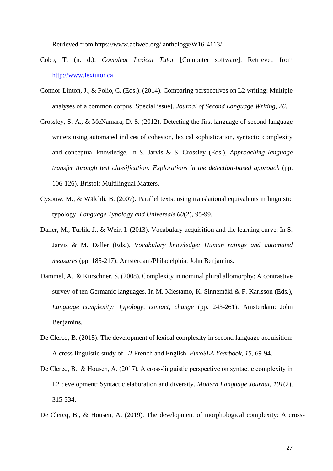Retrieved from https://www.aclweb.org/ anthology/W16-4113/

- Cobb, T. (n. d.). *Compleat Lexical Tutor* [Computer software]. Retrieved from [http://www.lextutor.ca](http://www.lextutor.ca/)
- Connor-Linton, J., & Polio, C. (Eds.). (2014). Comparing perspectives on L2 writing: Multiple analyses of a common corpus [Special issue]. *Journal of Second Language Writing, 26*.
- Crossley, S. A., & McNamara, D. S. (2012). Detecting the first language of second language writers using automated indices of cohesion, lexical sophistication, syntactic complexity and conceptual knowledge. In S. Jarvis & S. Crossley (Eds.), *Approaching language transfer through text classification: Explorations in the detection-based approach* (pp. 106-126). Bristol: Multilingual Matters.
- Cysouw, M., & Wälchli, B. (2007). Parallel texts: using translational equivalents in linguistic typology. *Language Typology and Universals 60*(2), 95-99.
- Daller, M., Turlik, J., & Weir, I. (2013). Vocabulary acquisition and the learning curve. In S. Jarvis & M. Daller (Eds.), *Vocabulary knowledge: Human ratings and automated measures* (pp. 185-217). Amsterdam/Philadelphia: John Benjamins.
- Dammel, A., & Kürschner, S. (2008). Complexity in nominal plural allomorphy: A contrastive survey of ten Germanic languages. In M. Miestamo, K. Sinnemäki & F. Karlsson (Eds.), *Language complexity: Typology, contact, change* (pp. 243-261). Amsterdam: John Benjamins.
- De Clercq, B. (2015). The development of lexical complexity in second language acquisition: A cross-linguistic study of L2 French and English. *EuroSLA Yearbook, 15,* 69-94.
- De Clercq, B., & Housen, A. (2017). A cross-linguistic perspective on syntactic complexity in L2 development: Syntactic elaboration and diversity. *Modern Language Journal, 101*(2), 315-334.
- De Clercq, B., & Housen, A. (2019). The development of morphological complexity: A cross-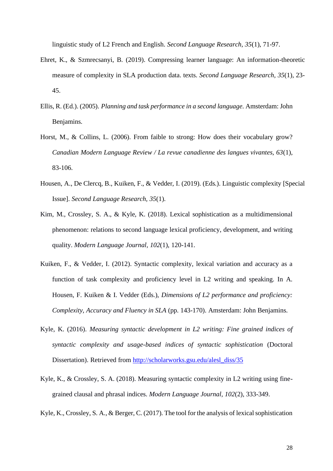linguistic study of L2 French and English. *Second Language Research, 35*(1), 71-97.

- Ehret, K., & Szmrecsanyi, B. (2019). Compressing learner language: An information-theoretic measure of complexity in SLA production data. texts. *Second Language Research, 35*(1), 23- 45.
- Ellis, R. (Ed.). (2005). *Planning and task performance in a second language.* Amsterdam: John Benjamins.
- Horst, M., & Collins, L. (2006). From faible to strong: How does their vocabulary grow? *Canadian Modern Language Review / La revue canadienne des langues vivantes, 63*(1), 83-106.
- Housen, A., De Clercq, B., Kuiken, F., & Vedder, I. (2019). (Eds.). Linguistic complexity [Special Issue]. *Second Language Research, 35*(1).
- Kim, M., Crossley, S. A., & Kyle, K. (2018). Lexical sophistication as a multidimensional phenomenon: relations to second language lexical proficiency, development, and writing quality. *Modern Language Journal, 102*(1), 120-141.
- Kuiken, F., & Vedder, I. (2012). Syntactic complexity, lexical variation and accuracy as a function of task complexity and proficiency level in L2 writing and speaking. In A. Housen, F. Kuiken & I. Vedder (Eds.), *Dimensions of L2 performance and proficiency: Complexity, Accuracy and Fluency in SLA* (pp. 143-170). Amsterdam: John Benjamins.
- Kyle, K. (2016). *Measuring syntactic development in L2 writing: Fine grained indices of syntactic complexity and usage-based indices of syntactic sophistication* (Doctoral Dissertation). Retrieved from [http://scholarworks.gsu.edu/alesl\\_diss/35](http://scholarworks.gsu.edu/alesl_diss/35)
- Kyle, K., & Crossley, S. A. (2018). Measuring syntactic complexity in L2 writing using finegrained clausal and phrasal indices. *Modern Language Journal, 102*(2), 333-349.
- Kyle, K., Crossley, S. A., & Berger, C. (2017). The tool for the analysis of lexical sophistication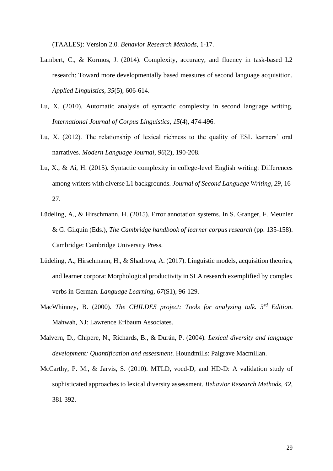(TAALES): Version 2.0. *Behavior Research Methods*, 1-17.

- Lambert, C., & Kormos, J. (2014). Complexity, accuracy, and fluency in task-based L2 research: Toward more developmentally based measures of second language acquisition. *Applied Linguistics, 35*(5), 606-614.
- Lu, X. (2010). Automatic analysis of syntactic complexity in second language writing. *International Journal of Corpus Linguistics*, *15*(4), 474-496.
- Lu, X. (2012). The relationship of lexical richness to the quality of ESL learners' oral narratives. *Modern Language Journal*, *96*(2), 190-208.
- Lu, X., & Ai, H. (2015). Syntactic complexity in college-level English writing: Differences among writers with diverse L1 backgrounds. *Journal of Second Language Writing, 29*, 16- 27.
- Lüdeling, A., & Hirschmann, H. (2015). Error annotation systems. In S. Granger, F. Meunier & G. Gilquin (Eds.), *The Cambridge handbook of learner corpus research* (pp. 135-158). Cambridge: Cambridge University Press.
- Lüdeling, A., Hirschmann, H., & Shadrova, A. (2017). Linguistic models, acquisition theories, and learner corpora: Morphological productivity in SLA research exemplified by complex verbs in German. *Language Learning, 67*(S1), 96-129.
- MacWhinney, B. (2000). *The CHILDES project: Tools for analyzing talk. 3rd Edition*. Mahwah, NJ: Lawrence Erlbaum Associates.
- Malvern, D., Chipere, N., Richards, B., & Durán, P. (2004). *Lexical diversity and language development: Quantification and assessment*. Houndmills: Palgrave Macmillan.
- McCarthy, P. M., & Jarvis, S. (2010). MTLD, vocd-D, and HD-D: A validation study of sophisticated approaches to lexical diversity assessment. *Behavior Research Methods*, *42*, 381-392.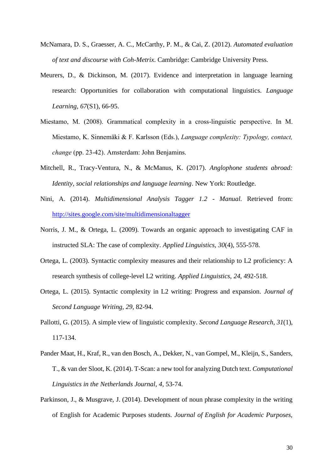- McNamara, D. S., Graesser, A. C., McCarthy, P. M., & Cai, Z. (2012). *Automated evaluation of text and discourse with Coh-Metrix*. Cambridge: Cambridge University Press.
- Meurers, D., & Dickinson, M. (2017). Evidence and interpretation in language learning research: Opportunities for collaboration with computational linguistics. *Language Learning, 67*(S1), 66-95.
- Miestamo, M. (2008). Grammatical complexity in a cross-linguistic perspective. In M. Miestamo, K. Sinnemäki & F. Karlsson (Eds.), *Language complexity: Typology, contact, change* (pp. 23-42). Amsterdam: John Benjamins.
- Mitchell, R., Tracy-Ventura, N., & McManus, K. (2017). *Anglophone students abroad: Identity, social relationships and language learning*. New York: Routledge.
- Nini, A. (2014). *Multidimensional Analysis Tagger 1.2 - Manual*. Retrieved from: <http://sites.google.com/site/multidimensionaltagger>
- Norris, J. M., & Ortega, L. (2009). Towards an organic approach to investigating CAF in instructed SLA: The case of complexity. *Applied Linguistics, 30*(4), 555-578.
- Ortega, L. (2003). Syntactic complexity measures and their relationship to L2 proficiency: A research synthesis of college-level L2 writing. *Applied Linguistics*, *24*, 492-518.
- Ortega, L. (2015). Syntactic complexity in L2 writing: Progress and expansion. *Journal of Second Language Writing, 29*, 82-94.
- Pallotti, G. (2015). A simple view of linguistic complexity. *Second Language Research*, *31*(1), 117-134.
- Pander Maat, H., Kraf, R., van den Bosch, A., Dekker, N., van Gompel, M., Kleijn, S., Sanders, T., & van der Sloot, K. (2014). T-Scan: a new tool for analyzing Dutch text. *Computational Linguistics in the Netherlands Journal, 4,* 53-74.
- Parkinson, J., & Musgrave, J. (2014). Development of noun phrase complexity in the writing of English for Academic Purposes students. *Journal of English for Academic Purposes,*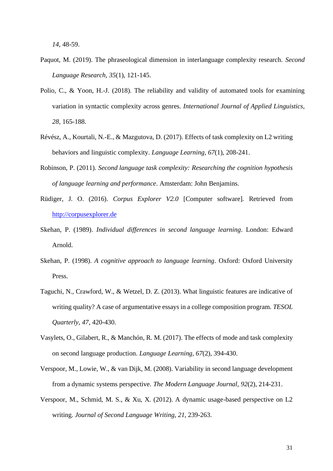*14*, 48-59.

- Paquot, M. (2019). The phraseological dimension in interlanguage complexity research. *Second Language Research, 35*(1), 121-145.
- Polio, C., & Yoon, H.-J. (2018). The reliability and validity of automated tools for examining variation in syntactic complexity across genres. *International Journal of Applied Linguistics, 28,* 165-188.
- Révész, A., Kourtali, N.-E., & Mazgutova, D. (2017). Effects of task complexity on L2 writing behaviors and linguistic complexity. *Language Learning, 67*(1), 208-241.
- Robinson, P. (2011). *Second language task complexity: Researching the cognition hypothesis of language learning and performance*. Amsterdam: John Benjamins.
- Rüdiger, J. O. (2016). *Corpus Explorer V2.0* [Computer software]. Retrieved from [http://corpusexplorer.de](http://corpusexplorer.de/)
- Skehan, P. (1989). *Individual differences in second language learning*. London: Edward Arnold.
- Skehan, P. (1998). *A cognitive approach to language learning*. Oxford: Oxford University Press.
- Taguchi, N., Crawford, W., & Wetzel, D. Z. (2013). What linguistic features are indicative of writing quality? A case of argumentative essays in a college composition program. *TESOL Quarterly, 47*, 420-430.
- Vasylets, O., Gilabert, R., & Manchón, R. M. (2017). The effects of mode and task complexity on second language production. *Language Learning, 67*(2), 394-430.
- Verspoor, M., Lowie, W., & van Dijk, M. (2008). Variability in second language development from a dynamic systems perspective. *The Modern Language Journal, 92*(2), 214-231.
- Verspoor, M., Schmid, M. S., & Xu, X. (2012). A dynamic usage-based perspective on L2 writing. *Journal of Second Language Writing*, *21*, 239-263.